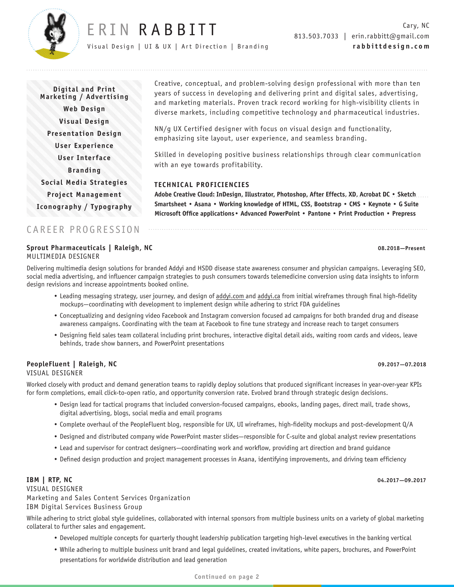

# ERIN RABBITT

Visual Design | UI & UX | Art Direction | Branding

**Digital and Print Marketing / Advertising Web Design Visual Design Presentation Design User Experience User Interface Branding Social Media Strategies Project Management Iconography / Typography** Creative, conceptual, and problem-solving design professional with more than ten years of success in developing and delivering print and digital sales, advertising, and marketing materials. Proven track record working for high-visibility clients in diverse markets, including competitive technology and pharmaceutical industries.

NN/g UX Certified designer with focus on visual design and functionality, emphasizing site layout, user experience, and seamless branding.

Skilled in developing positive business relationships through clear communication with an eye towards profitability.

## **TECHNICAL PROFICIENCIES**

**Adobe Creative Cloud: InDesign, Illustrator, Photoshop, After Effects, XD, Acrobat DC • Sketch Smartsheet • Asana • Working knowledge of HTML, CSS, Bootstrap • CMS • Keynote • G Suite Microsoft Office applications• Advanced PowerPoint • Pantone • Print Production • Prepress**

## CAREER PROGRESSION

## **Sprout Pharmaceuticals | Raleigh, NC 08.2018—Present** MULTIMEDIA DESIGNER

Delivering multimedia design solutions for branded Addyi and HSDD disease state awareness consumer and physician campaigns. Leveraging SEO, social media advertising, and influencer campaign strategies to push consumers towards telemedicine conversion using data insights to inform design revisions and increase appointments booked online.

- Leading messaging strategy, user journey, and design of addyi.com and addyi.ca from initial wireframes through final high-fidelity mockups—coordinating with development to implement design while adhering to strict FDA guidelines
- Conceptualizing and designing video Facebook and Instagram conversion focused ad campaigns for both branded drug and disease awareness campaigns. Coordinating with the team at Facebook to fine tune strategy and increase reach to target consumers
- Designing field sales team collateral including print brochures, interactive digital detail aids, waiting room cards and videos, leave behinds, trade show banners, and PowerPoint presentations

## **PeopleFluent | Raleigh, NC 09.2017—07.2018**  VISUAL DESIGNER

Worked closely with product and demand generation teams to rapidly deploy solutions that produced significant increases in year-over-year KPIs for form completions, email click-to-open ratio, and opportunity conversion rate. Evolved brand through strategic design decisions.

- Design lead for tactical programs that included conversion-focused campaigns, ebooks, landing pages, direct mail, trade shows, digital advertising, blogs, social media and email programs
- Complete overhaul of the PeopleFluent blog, responsible for UX, UI wireframes, high-fidelity mockups and post-development Q/A
- Designed and distributed company wide PowerPoint master slides—responsible for C-suite and global analyst review presentations
- Lead and supervisor for contract designers—coordinating work and workflow, providing art direction and brand guidance
- Defined design production and project management processes in Asana, identifying improvements, and driving team efficiency

## **IBM | RTP, NC 04.2017—09.2017**

VISUAL DESIGNER Marketing and Sales Content Services Organization IBM Digital Services Business Group

While adhering to strict global style guidelines, collaborated with internal sponsors from multiple business units on a variety of global marketing collateral to further sales and engagement.

- Developed multiple concepts for quarterly thought leadership publication targeting high-level executives in the banking vertical
- While adhering to multiple business unit brand and legal guidelines, created invitations, white papers, brochures, and PowerPoint presentations for worldwide distribution and lead generation